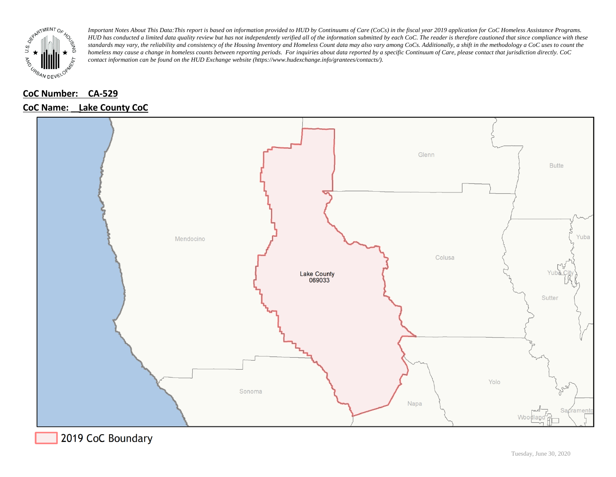

## **CoC Number: CA-529**

#### **CoC Name:** Lake County CoC



2019 CoC Boundary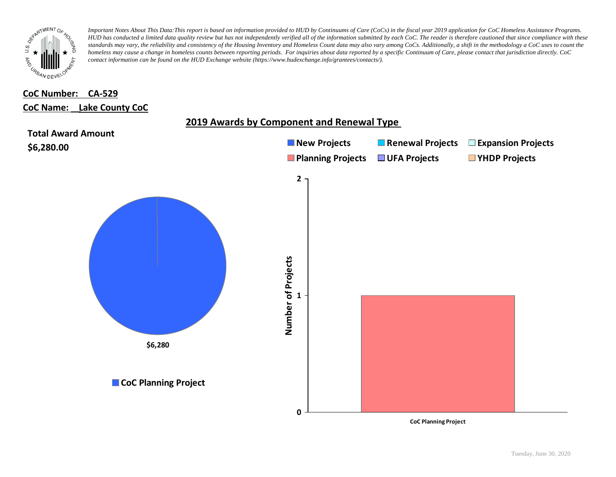

## **CoC Number: CA-529 CoC Name: \_\_ Lake County CoC**



Tuesday, June 30, 2020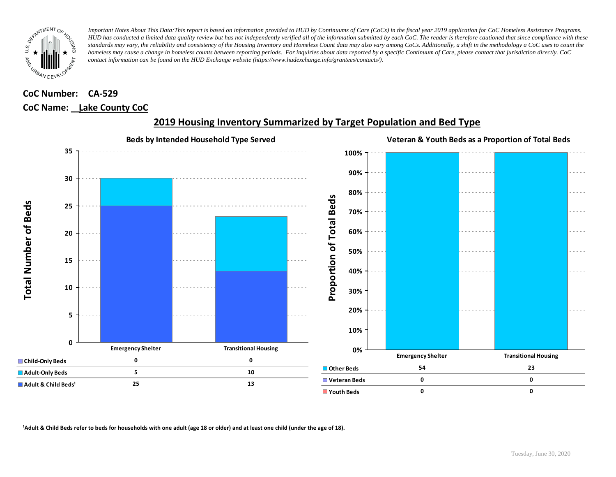

## **CoC Number: CA-529 CoC Name: \_\_ Lake County CoC**



## **2019 Housing Inventory Summarized by Target Population and Bed Type**

<sup>1</sup> Adult & Child Beds refer to beds for households with one adult (age 18 or older) and at least one child (under the age of 18).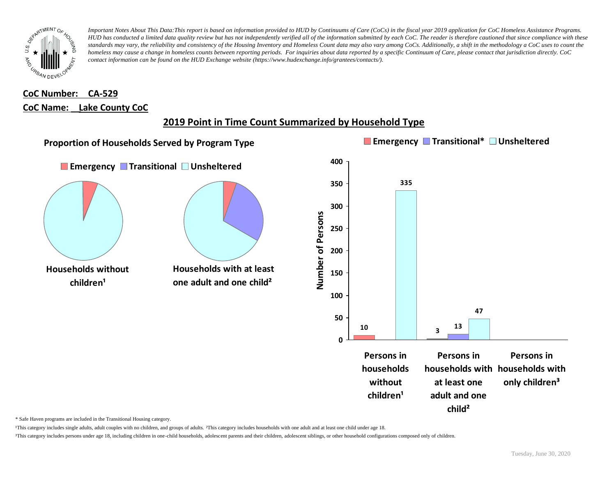

## **CoC Number: CA-529 CoC Name: \_\_ Lake County CoC**

## **2019 Point in Time Count Summarized by Household Type**



\* Safe Haven programs are included in the Transitional Housing category.

¹This category includes single adults, adult couples with no children, and groups of adults. ²This category includes households with one adult and at least one child under age 18.

³This category includes persons under age 18, including children in one-child households, adolescent parents and their children, adolescent siblings, or other household configurations composed only of children.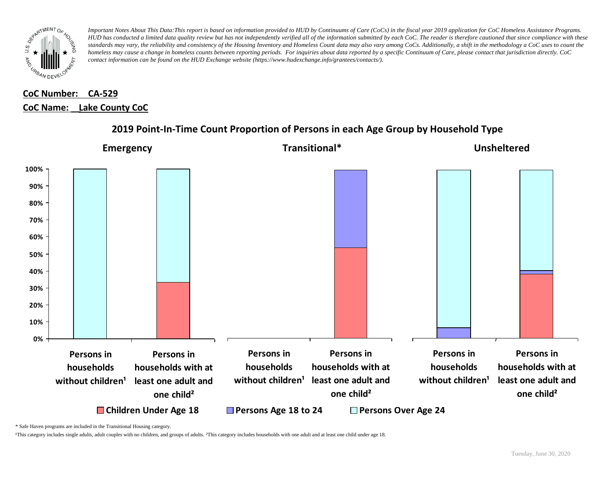

## **CoC Number: CA-529 CoC Name: \_\_ Lake County CoC**



### **2019 Point-In-Time Count Proportion of Persons in each Age Group by Household Type**

\* Safe Haven programs are included in the Transitional Housing category.

¹This category includes single adults, adult couples with no children, and groups of adults. ²This category includes households with one adult and at least one child under age 18.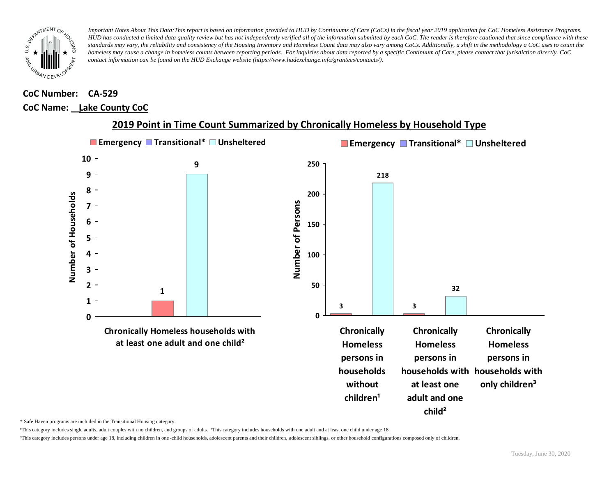

#### **CoC Number: CA-529**

#### **CoC Name: \_\_ Lake County CoC**



#### **2019 Point in Time Count Summarized by Chronically Homeless by Household Type**

\* Safe Haven programs are included in the Transitional Housing category.

¹This category includes single adults, adult couples with no children, and groups of adults. ²This category includes households with one adult and at least one child under age 18.

³This category includes persons under age 18, including children in one -child households, adolescent parents and their children, adolescent siblings, or other household configurations composed only of children.